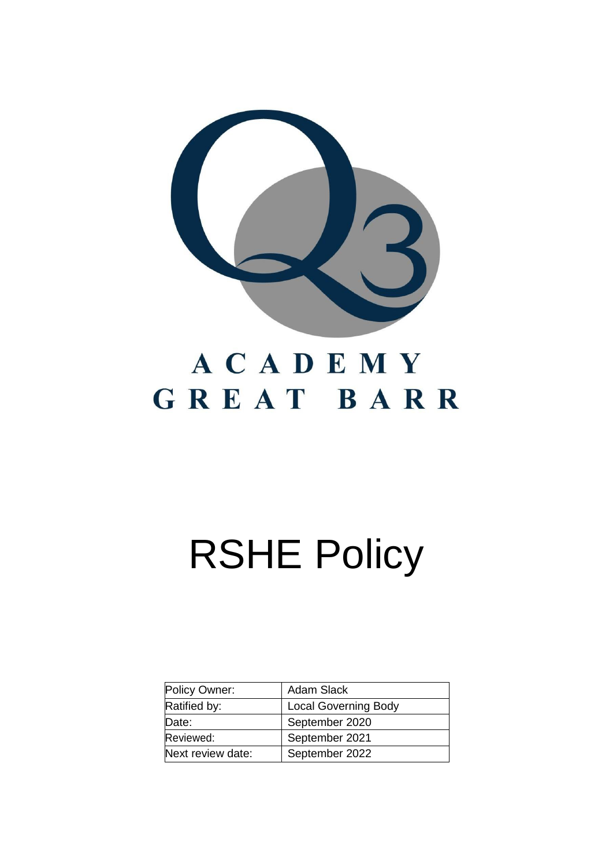

## ACADEMY GREAT BARR

# RSHE Policy

| Policy Owner:     | <b>Adam Slack</b>           |
|-------------------|-----------------------------|
| Ratified by:      | <b>Local Governing Body</b> |
| Date:             | September 2020              |
| Reviewed:         | September 2021              |
| Next review date: | September 2022              |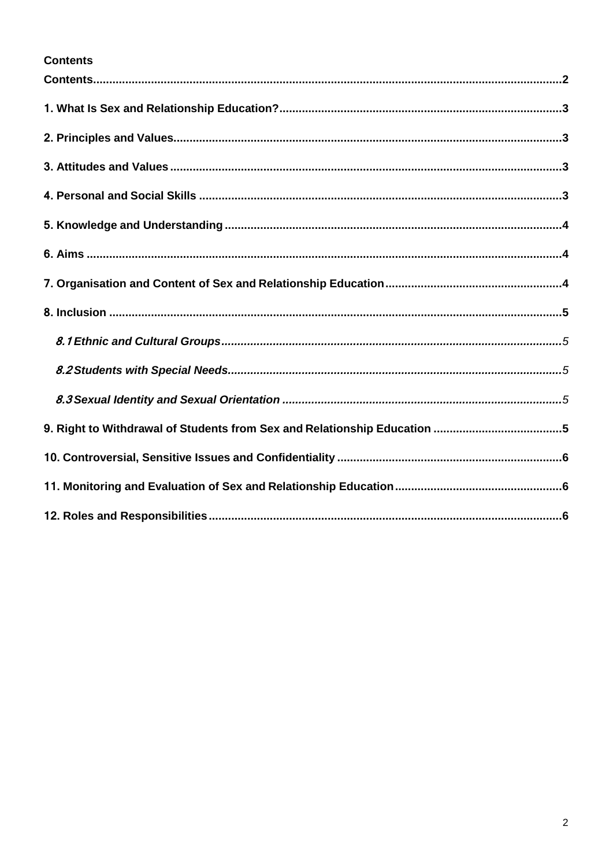#### <span id="page-1-0"></span>**Contents**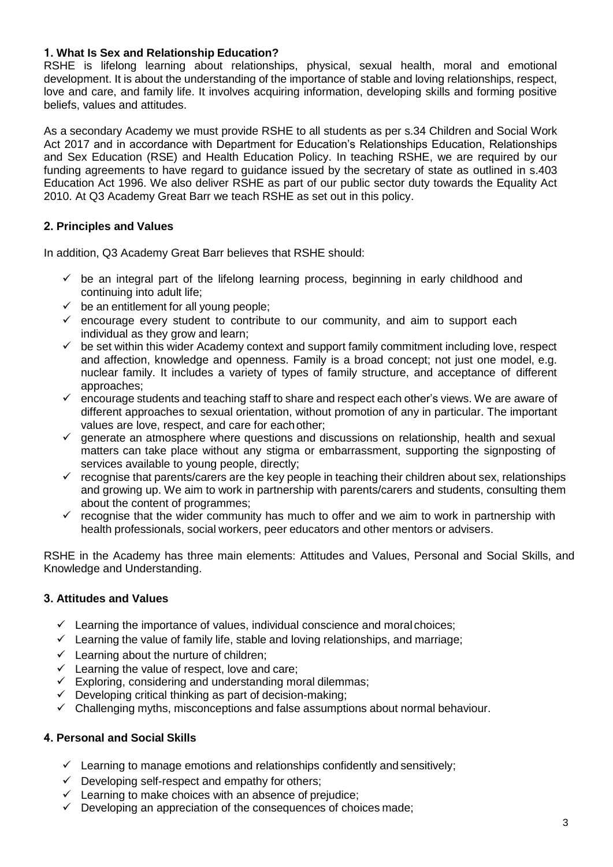#### <span id="page-2-0"></span>**1. What Is Sex and Relationship Education?**

RSHE is lifelong learning about relationships, physical, sexual health, moral and emotional development. It is about the understanding of the importance of stable and loving relationships, respect, love and care, and family life. It involves acquiring information, developing skills and forming positive beliefs, values and attitudes.

As a secondary Academy we must provide RSHE to all students as per s.34 Children and Social Work Act 2017 and in accordance with Department for Education's Relationships Education, Relationships and Sex Education (RSE) and Health Education Policy. In teaching RSHE, we are required by our funding agreements to have regard to guidance issued by the secretary of state as outlined in s.403 Education Act 1996. We also deliver RSHE as part of our public sector duty towards the Equality Act 2010. At Q3 Academy Great Barr we teach RSHE as set out in this policy.

#### <span id="page-2-1"></span>**2. Principles and Values**

In addition, Q3 Academy Great Barr believes that RSHE should:

- $\checkmark$  be an integral part of the lifelong learning process, beginning in early childhood and continuing into adult life;
- $\checkmark$  be an entitlement for all young people;
- $\checkmark$  encourage every student to contribute to our community, and aim to support each individual as they grow and learn;
- $\checkmark$  be set within this wider Academy context and support family commitment including love, respect and affection, knowledge and openness. Family is a broad concept; not just one model, e.g. nuclear family. It includes a variety of types of family structure, and acceptance of different approaches;
- ✓ encourage students and teaching staff to share and respect each other's views. We are aware of different approaches to sexual orientation, without promotion of any in particular. The important values are love, respect, and care for eachother;
- $\checkmark$  generate an atmosphere where questions and discussions on relationship, health and sexual matters can take place without any stigma or embarrassment, supporting the signposting of services available to young people, directly;
- $\checkmark$  recognise that parents/carers are the key people in teaching their children about sex, relationships and growing up. We aim to work in partnership with parents/carers and students, consulting them about the content of programmes;
- $\checkmark$  recognise that the wider community has much to offer and we aim to work in partnership with health professionals, social workers, peer educators and other mentors or advisers.

RSHE in the Academy has three main elements: Attitudes and Values, Personal and Social Skills, and Knowledge and Understanding.

#### <span id="page-2-2"></span>**3. Attitudes and Values**

- $\checkmark$  Learning the importance of values, individual conscience and moral choices;
- $\checkmark$  Learning the value of family life, stable and loving relationships, and marriage;
- $\checkmark$  Learning about the nurture of children;
- $\checkmark$  Learning the value of respect, love and care;
- $\checkmark$  Exploring, considering and understanding moral dilemmas;
- $\checkmark$  Developing critical thinking as part of decision-making;
- $\checkmark$  Challenging myths, misconceptions and false assumptions about normal behaviour.

#### <span id="page-2-3"></span>**4. Personal and Social Skills**

- $\checkmark$  Learning to manage emotions and relationships confidently and sensitively;
- $\checkmark$  Developing self-respect and empathy for others;
- $\checkmark$  Learning to make choices with an absence of prejudice;
- $\checkmark$  Developing an appreciation of the consequences of choices made;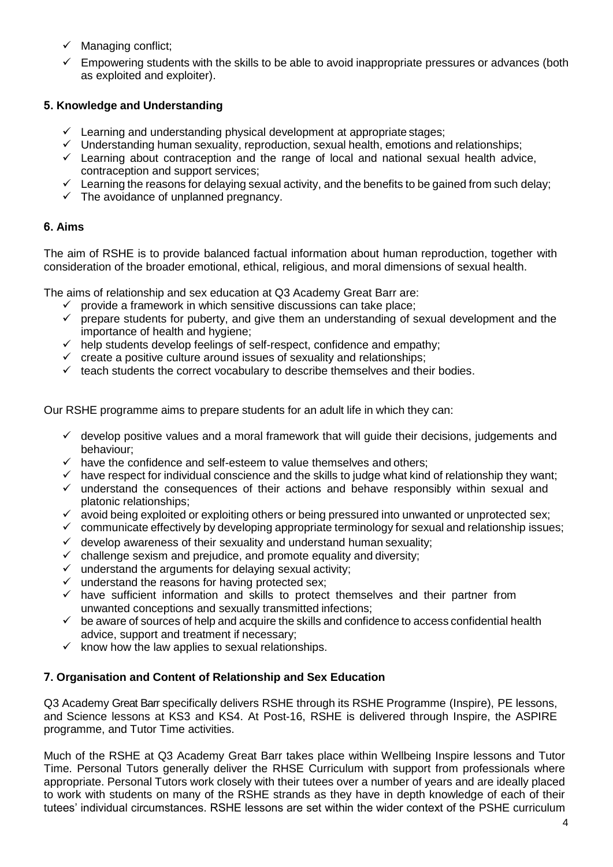- $\checkmark$  Managing conflict;
- $\checkmark$  Empowering students with the skills to be able to avoid inappropriate pressures or advances (both as exploited and exploiter).

#### <span id="page-3-0"></span>**5. Knowledge and Understanding**

- $\checkmark$  Learning and understanding physical development at appropriate stages;
- $\checkmark$  Understanding human sexuality, reproduction, sexual health, emotions and relationships;
- $\checkmark$  Learning about contraception and the range of local and national sexual health advice, contraception and support services;
- ✓ Learning the reasons for delaying sexual activity, and the benefits to be gained from such delay;
- $\checkmark$  The avoidance of unplanned pregnancy.

#### <span id="page-3-1"></span>**6. Aims**

The aim of RSHE is to provide balanced factual information about human reproduction, together with consideration of the broader emotional, ethical, religious, and moral dimensions of sexual health.

The aims of relationship and sex education at Q3 Academy Great Barr are:

- $\checkmark$  provide a framework in which sensitive discussions can take place:
- $\checkmark$  prepare students for puberty, and give them an understanding of sexual development and the importance of health and hygiene;
- $\checkmark$  help students develop feelings of self-respect, confidence and empathy;
- $\checkmark$  create a positive culture around issues of sexuality and relationships;
- $\checkmark$  teach students the correct vocabulary to describe themselves and their bodies.

Our RSHE programme aims to prepare students for an adult life in which they can:

- $\checkmark$  develop positive values and a moral framework that will quide their decisions, judgements and behaviour;
- $\checkmark$  have the confidence and self-esteem to value themselves and others;
- $\checkmark$  have respect for individual conscience and the skills to judge what kind of relationship they want;
- $\checkmark$  understand the consequences of their actions and behave responsibly within sexual and platonic relationships;
- ✓ avoid being exploited or exploiting others or being pressured into unwanted or unprotected sex;
- $\checkmark$  communicate effectively by developing appropriate terminology for sexual and relationship issues;
- $\checkmark$  develop awareness of their sexuality and understand human sexuality;
- $\checkmark$  challenge sexism and prejudice, and promote equality and diversity;
- $\checkmark$  understand the arguments for delaying sexual activity;
- $\checkmark$  understand the reasons for having protected sex;
- $\checkmark$  have sufficient information and skills to protect themselves and their partner from unwanted conceptions and sexually transmitted infections;
- $\checkmark$  be aware of sources of help and acquire the skills and confidence to access confidential health advice, support and treatment if necessary;
- $\checkmark$  know how the law applies to sexual relationships.

#### <span id="page-3-2"></span>**7. Organisation and Content of Relationship and Sex Education**

Q3 Academy Great Barr specifically delivers RSHE through its RSHE Programme (Inspire), PE lessons, and Science lessons at KS3 and KS4. At Post-16, RSHE is delivered through Inspire, the ASPIRE programme, and Tutor Time activities.

Much of the RSHE at Q3 Academy Great Barr takes place within Wellbeing Inspire lessons and Tutor Time. Personal Tutors generally deliver the RHSE Curriculum with support from professionals where appropriate. Personal Tutors work closely with their tutees over a number of years and are ideally placed to work with students on many of the RSHE strands as they have in depth knowledge of each of their tutees' individual circumstances. RSHE lessons are set within the wider context of the PSHE curriculum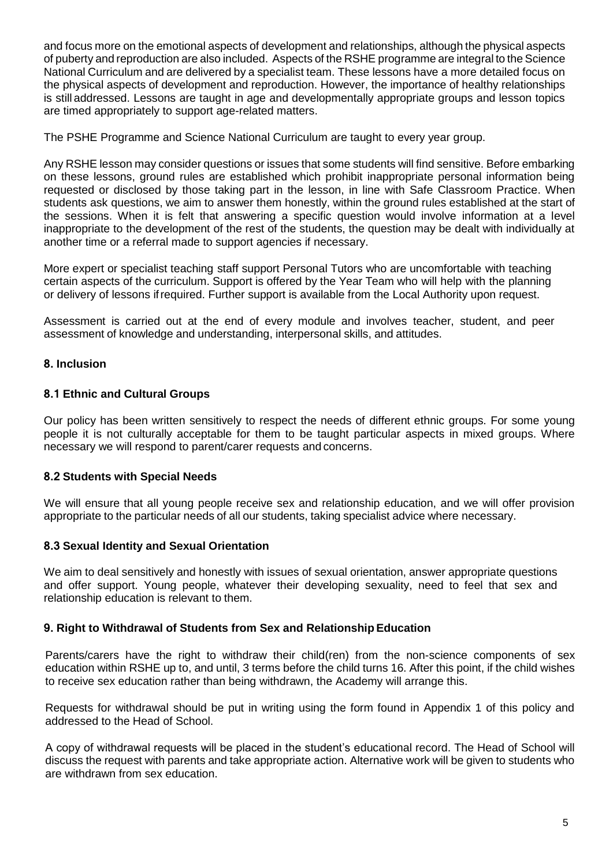and focus more on the emotional aspects of development and relationships, although the physical aspects of puberty and reproduction are also included. Aspects of the RSHE programme are integral to the Science National Curriculum and are delivered by a specialist team. These lessons have a more detailed focus on the physical aspects of development and reproduction. However, the importance of healthy relationships is still addressed. Lessons are taught in age and developmentally appropriate groups and lesson topics are timed appropriately to support age-related matters.

The PSHE Programme and Science National Curriculum are taught to every year group.

Any RSHE lesson may consider questions or issues that some students will find sensitive. Before embarking on these lessons, ground rules are established which prohibit inappropriate personal information being requested or disclosed by those taking part in the lesson, in line with Safe Classroom Practice. When students ask questions, we aim to answer them honestly, within the ground rules established at the start of the sessions. When it is felt that answering a specific question would involve information at a level inappropriate to the development of the rest of the students, the question may be dealt with individually at another time or a referral made to support agencies if necessary.

More expert or specialist teaching staff support Personal Tutors who are uncomfortable with teaching certain aspects of the curriculum. Support is offered by the Year Team who will help with the planning or delivery of lessons ifrequired. Further support is available from the Local Authority upon request.

Assessment is carried out at the end of every module and involves teacher, student, and peer assessment of knowledge and understanding, interpersonal skills, and attitudes.

#### <span id="page-4-0"></span>**8. Inclusion**

#### <span id="page-4-1"></span>**8.1 Ethnic and Cultural Groups**

Our policy has been written sensitively to respect the needs of different ethnic groups. For some young people it is not culturally acceptable for them to be taught particular aspects in mixed groups. Where necessary we will respond to parent/carer requests and concerns.

#### <span id="page-4-2"></span>**8.2 Students with Special Needs**

We will ensure that all young people receive sex and relationship education, and we will offer provision appropriate to the particular needs of all our students, taking specialist advice where necessary.

#### <span id="page-4-3"></span>**8.3 Sexual Identity and Sexual Orientation**

We aim to deal sensitively and honestly with issues of sexual orientation, answer appropriate questions and offer support. Young people, whatever their developing sexuality, need to feel that sex and relationship education is relevant to them.

#### <span id="page-4-4"></span>**9. Right to Withdrawal of Students from Sex and RelationshipEducation**

Parents/carers have the right to withdraw their child(ren) from the non-science components of sex education within RSHE up to, and until, 3 terms before the child turns 16. After this point, if the child wishes to receive sex education rather than being withdrawn, the Academy will arrange this.

Requests for withdrawal should be put in writing using the form found in Appendix 1 of this policy and addressed to the Head of School.

A copy of withdrawal requests will be placed in the student's educational record. The Head of School will discuss the request with parents and take appropriate action. Alternative work will be given to students who are withdrawn from sex education.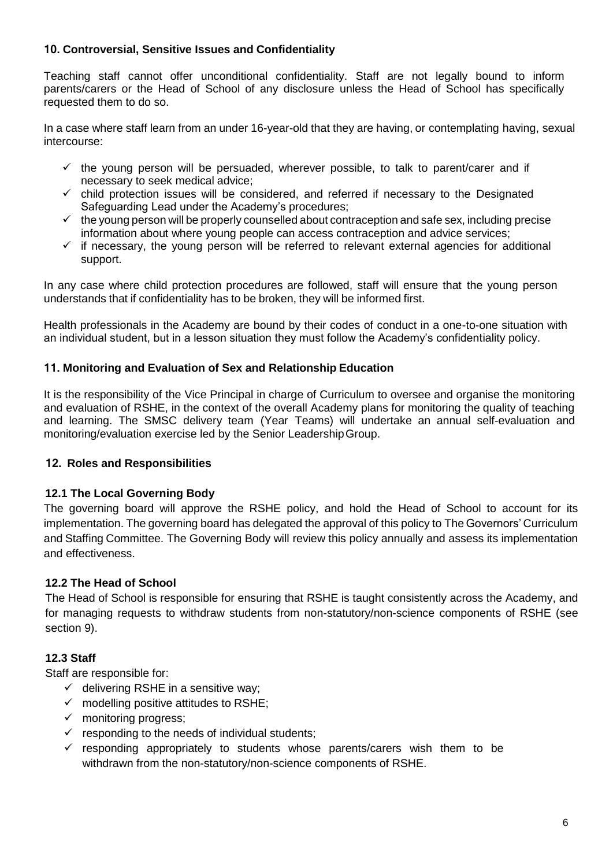#### <span id="page-5-0"></span>**10. Controversial, Sensitive Issues and Confidentiality**

Teaching staff cannot offer unconditional confidentiality. Staff are not legally bound to inform parents/carers or the Head of School of any disclosure unless the Head of School has specifically requested them to do so.

In a case where staff learn from an under 16-year-old that they are having, or contemplating having, sexual intercourse:

- $\checkmark$  the young person will be persuaded, wherever possible, to talk to parent/carer and if necessary to seek medical advice;
- $\checkmark$  child protection issues will be considered, and referred if necessary to the Designated Safeguarding Lead under the Academy's procedures;
- $\checkmark$  the young person will be properly counselled about contraception and safe sex, including precise information about where young people can access contraception and advice services;
- $\checkmark$  if necessary, the young person will be referred to relevant external agencies for additional support.

In any case where child protection procedures are followed, staff will ensure that the young person understands that if confidentiality has to be broken, they will be informed first.

Health professionals in the Academy are bound by their codes of conduct in a one-to-one situation with an individual student, but in a lesson situation they must follow the Academy's confidentiality policy.

#### <span id="page-5-1"></span>**11. Monitoring and Evaluation of Sex and Relationship Education**

It is the responsibility of the Vice Principal in charge of Curriculum to oversee and organise the monitoring and evaluation of RSHE, in the context of the overall Academy plans for monitoring the quality of teaching and learning. The SMSC delivery team (Year Teams) will undertake an annual self-evaluation and monitoring/evaluation exercise led by the Senior LeadershipGroup.

#### **12. Roles and Responsibilities**

#### **12.1 The Local Governing Body**

The governing board will approve the RSHE policy, and hold the Head of School to account for its implementation. The governing board has delegated the approval of this policy to The Governors' Curriculum and Staffing Committee. The Governing Body will review this policy annually and assess its implementation and effectiveness.

#### **12.2 The Head of School**

The Head of School is responsible for ensuring that RSHE is taught consistently across the Academy, and for managing requests to withdraw students from non-statutory/non-science components of RSHE (see section 9).

#### **12.3 Staff**

Staff are responsible for:

- $\checkmark$  delivering RSHE in a sensitive way;
- $\checkmark$  modelling positive attitudes to RSHE;
- $\checkmark$  monitoring progress;
- $\checkmark$  responding to the needs of individual students;
- $\checkmark$  responding appropriately to students whose parents/carers wish them to be withdrawn from the non-statutory/non-science components of RSHE.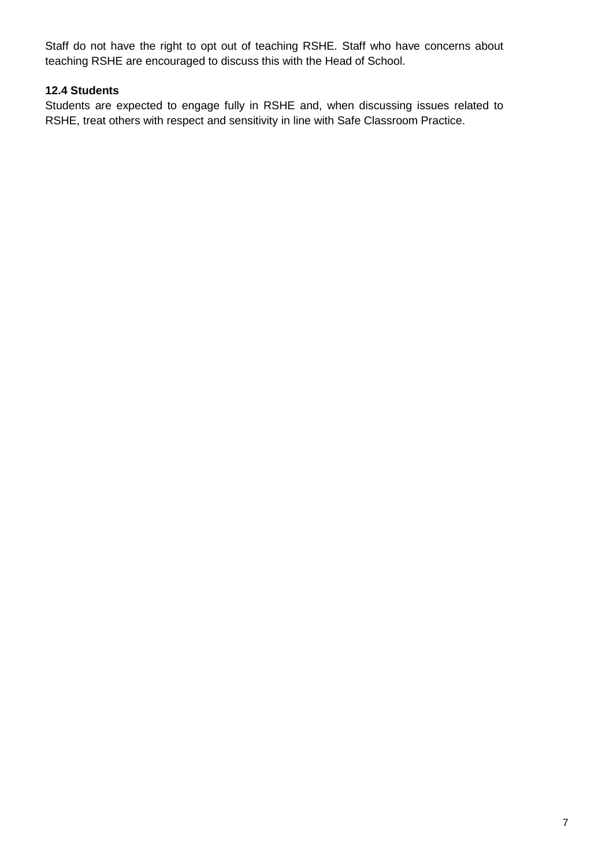Staff do not have the right to opt out of teaching RSHE. Staff who have concerns about teaching RSHE are encouraged to discuss this with the Head of School.

#### **12.4 Students**

Students are expected to engage fully in RSHE and, when discussing issues related to RSHE, treat others with respect and sensitivity in line with Safe Classroom Practice.